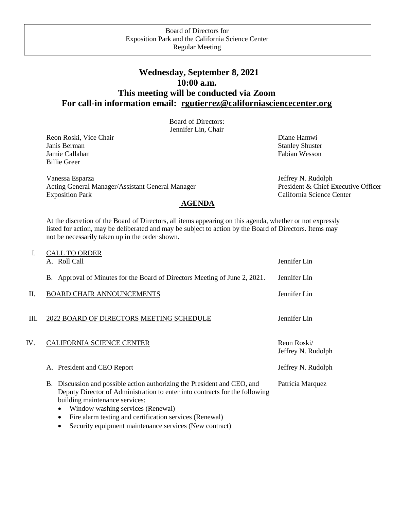## **Wednesday, September 8, 2021 10:00 a.m. This meeting will be conducted via Zoom For call-in information email: [rgutierrez@californiasciencecenter.org](mailto:rgutierrez@californiasciencecenter.org)**

Board of Directors: Jennifer Lin, Chair

Reon Roski, Vice Chair **Diane Hamwi** Diane Hamwi Diane Hamwi Diane Hamwi Diane Hamwi Diane Hamwi Diane Hamwi Diane Hamwi Diane Hamwi Diane Hamwi Diane Hamwi Diane Hamwi Diane Hamwi Diane Hamwi Diane Hamwi Diane Hamwi Diane Janis Berman Stanley Shuster Stanley Shuster Jamie Callahan Fabian Wesson Fabian Wesson Billie Greer

Vanessa Esparza Jeffrey N. Rudolph Acting General Manager/Assistant General Manager President & Chief Executive Officer Exposition Park California Science Center **AGENDA** 

At the discretion of the Board of Directors, all items appearing on this agenda, whether or not expressly listed for action, may be deliberated and may be subject to action by the Board of Directors. Items may not be necessarily taken up in the order shown.

| A. Roll Call                                                                                                                                                                                                                                                                                                                                                  | Jennifer Lin                      |
|---------------------------------------------------------------------------------------------------------------------------------------------------------------------------------------------------------------------------------------------------------------------------------------------------------------------------------------------------------------|-----------------------------------|
| B. Approval of Minutes for the Board of Directors Meeting of June 2, 2021.                                                                                                                                                                                                                                                                                    | Jennifer Lin                      |
| <b>BOARD CHAIR ANNOUNCEMENTS</b>                                                                                                                                                                                                                                                                                                                              | Jennifer Lin                      |
| 2022 BOARD OF DIRECTORS MEETING SCHEDULE                                                                                                                                                                                                                                                                                                                      | Jennifer Lin                      |
| <b>CALIFORNIA SCIENCE CENTER</b>                                                                                                                                                                                                                                                                                                                              | Reon Roski/<br>Jeffrey N. Rudolph |
| A. President and CEO Report                                                                                                                                                                                                                                                                                                                                   | Jeffrey N. Rudolph                |
| B. Discussion and possible action authorizing the President and CEO, and<br>Deputy Director of Administration to enter into contracts for the following<br>building maintenance services:<br>Window washing services (Renewal)<br>٠<br>Fire alarm testing and certification services (Renewal)<br>٠<br>Security equipment maintenance services (New contract) | Patricia Marquez                  |
|                                                                                                                                                                                                                                                                                                                                                               | <b>CALL TO ORDER</b>              |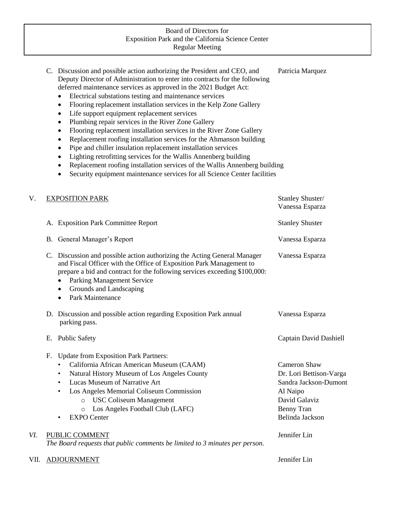## Board of Directors for Exposition Park and the California Science Center Regular Meeting

|     | C. Discussion and possible action authorizing the President and CEO, and<br>Deputy Director of Administration to enter into contracts for the following<br>deferred maintenance services as approved in the 2021 Budget Act:<br>Electrical substations testing and maintenance services<br>Flooring replacement installation services in the Kelp Zone Gallery<br>$\bullet$<br>Life support equipment replacement services<br>٠<br>Plumbing repair services in the River Zone Gallery<br>$\bullet$<br>Flooring replacement installation services in the River Zone Gallery<br>$\bullet$<br>Replacement roofing installation services for the Ahmanson building<br>$\bullet$<br>Pipe and chiller insulation replacement installation services<br>٠<br>Lighting retrofitting services for the Wallis Annenberg building<br>$\bullet$<br>Replacement roofing installation services of the Wallis Annenberg building<br>$\bullet$<br>Security equipment maintenance services for all Science Center facilities<br>$\bullet$ | Patricia Marquez                                                                                                                      |
|-----|-------------------------------------------------------------------------------------------------------------------------------------------------------------------------------------------------------------------------------------------------------------------------------------------------------------------------------------------------------------------------------------------------------------------------------------------------------------------------------------------------------------------------------------------------------------------------------------------------------------------------------------------------------------------------------------------------------------------------------------------------------------------------------------------------------------------------------------------------------------------------------------------------------------------------------------------------------------------------------------------------------------------------|---------------------------------------------------------------------------------------------------------------------------------------|
| V.  | <b>EXPOSITION PARK</b>                                                                                                                                                                                                                                                                                                                                                                                                                                                                                                                                                                                                                                                                                                                                                                                                                                                                                                                                                                                                  | Stanley Shuster/<br>Vanessa Esparza                                                                                                   |
|     | A. Exposition Park Committee Report                                                                                                                                                                                                                                                                                                                                                                                                                                                                                                                                                                                                                                                                                                                                                                                                                                                                                                                                                                                     | <b>Stanley Shuster</b>                                                                                                                |
|     | B. General Manager's Report                                                                                                                                                                                                                                                                                                                                                                                                                                                                                                                                                                                                                                                                                                                                                                                                                                                                                                                                                                                             | Vanessa Esparza                                                                                                                       |
|     | C. Discussion and possible action authorizing the Acting General Manager<br>and Fiscal Officer with the Office of Exposition Park Management to<br>prepare a bid and contract for the following services exceeding \$100,000:<br><b>Parking Management Service</b><br>Grounds and Landscaping<br>٠<br>Park Maintenance<br>$\bullet$                                                                                                                                                                                                                                                                                                                                                                                                                                                                                                                                                                                                                                                                                     | Vanessa Esparza                                                                                                                       |
|     | D. Discussion and possible action regarding Exposition Park annual<br>parking pass.                                                                                                                                                                                                                                                                                                                                                                                                                                                                                                                                                                                                                                                                                                                                                                                                                                                                                                                                     | Vanessa Esparza                                                                                                                       |
|     | E. Public Safety                                                                                                                                                                                                                                                                                                                                                                                                                                                                                                                                                                                                                                                                                                                                                                                                                                                                                                                                                                                                        | Captain David Dashiell                                                                                                                |
|     | <b>Update from Exposition Park Partners:</b><br>F.<br>California African American Museum (CAAM)<br>Natural History Museum of Los Angeles County<br>$\bullet$<br>Lucas Museum of Narrative Art<br>$\bullet$<br>Los Angeles Memorial Coliseum Commission<br>$\bullet$<br><b>USC Coliseum Management</b><br>$\circ$<br>Los Angeles Football Club (LAFC)<br>$\circ$<br><b>EXPO</b> Center                                                                                                                                                                                                                                                                                                                                                                                                                                                                                                                                                                                                                                   | Cameron Shaw<br>Dr. Lori Bettison-Varga<br>Sandra Jackson-Dumont<br>Al Naipo<br>David Galaviz<br><b>Benny Tran</b><br>Belinda Jackson |
| VI. | <b>PUBLIC COMMENT</b><br>The Board requests that public comments be limited to 3 minutes per person.                                                                                                                                                                                                                                                                                                                                                                                                                                                                                                                                                                                                                                                                                                                                                                                                                                                                                                                    | Jennifer Lin                                                                                                                          |
|     |                                                                                                                                                                                                                                                                                                                                                                                                                                                                                                                                                                                                                                                                                                                                                                                                                                                                                                                                                                                                                         |                                                                                                                                       |

## VII. ADJOURNMENT Jennifer Lin